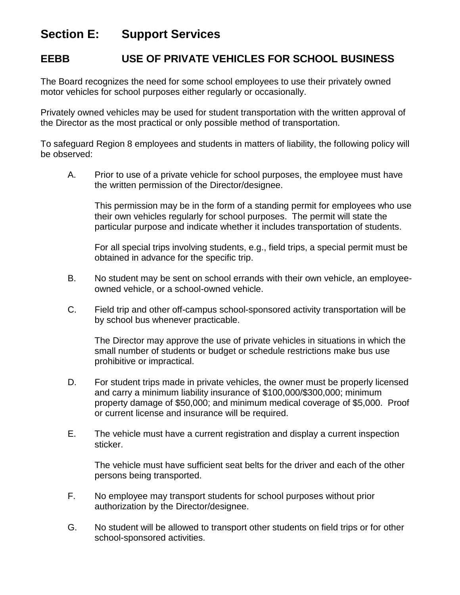## **Section E: Support Services**

## **EEBB USE OF PRIVATE VEHICLES FOR SCHOOL BUSINESS**

The Board recognizes the need for some school employees to use their privately owned motor vehicles for school purposes either regularly or occasionally.

Privately owned vehicles may be used for student transportation with the written approval of the Director as the most practical or only possible method of transportation.

To safeguard Region 8 employees and students in matters of liability, the following policy will be observed:

A. Prior to use of a private vehicle for school purposes, the employee must have the written permission of the Director/designee.

This permission may be in the form of a standing permit for employees who use their own vehicles regularly for school purposes. The permit will state the particular purpose and indicate whether it includes transportation of students.

For all special trips involving students, e.g., field trips, a special permit must be obtained in advance for the specific trip.

- B. No student may be sent on school errands with their own vehicle, an employeeowned vehicle, or a school-owned vehicle.
- C. Field trip and other off-campus school-sponsored activity transportation will be by school bus whenever practicable.

The Director may approve the use of private vehicles in situations in which the small number of students or budget or schedule restrictions make bus use prohibitive or impractical.

- D. For student trips made in private vehicles, the owner must be properly licensed and carry a minimum liability insurance of \$100,000/\$300,000; minimum property damage of \$50,000; and minimum medical coverage of \$5,000. Proof or current license and insurance will be required.
- E. The vehicle must have a current registration and display a current inspection sticker.

The vehicle must have sufficient seat belts for the driver and each of the other persons being transported.

- F. No employee may transport students for school purposes without prior authorization by the Director/designee.
- G. No student will be allowed to transport other students on field trips or for other school-sponsored activities.